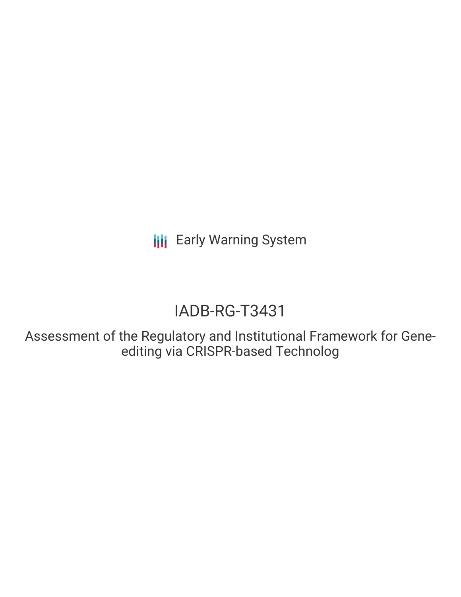**III** Early Warning System

# IADB-RG-T3431

Assessment of the Regulatory and Institutional Framework for Geneediting via CRISPR-based Technolog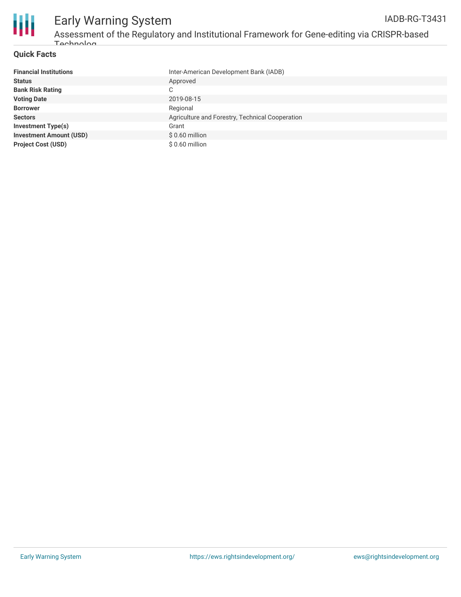

#### **Quick Facts**

| <b>Financial Institutions</b>  | Inter-American Development Bank (IADB)          |
|--------------------------------|-------------------------------------------------|
| <b>Status</b>                  | Approved                                        |
| <b>Bank Risk Rating</b>        | C                                               |
| <b>Voting Date</b>             | 2019-08-15                                      |
| <b>Borrower</b>                | Regional                                        |
| <b>Sectors</b>                 | Agriculture and Forestry, Technical Cooperation |
| <b>Investment Type(s)</b>      | Grant                                           |
| <b>Investment Amount (USD)</b> | $$0.60$ million                                 |
| <b>Project Cost (USD)</b>      | \$0.60 million                                  |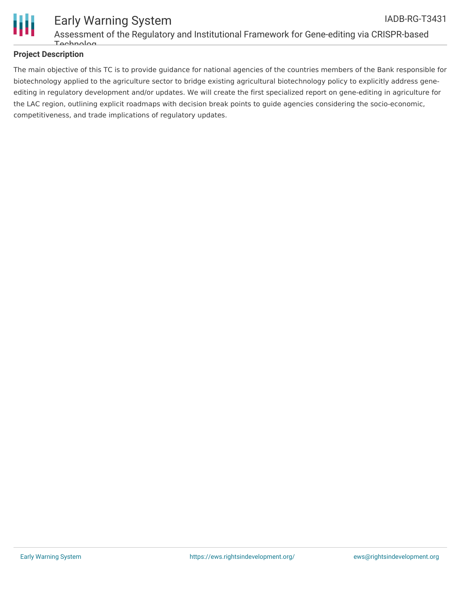

#### **Project Description**

The main objective of this TC is to provide guidance for national agencies of the countries members of the Bank responsible for biotechnology applied to the agriculture sector to bridge existing agricultural biotechnology policy to explicitly address geneediting in regulatory development and/or updates. We will create the first specialized report on gene-editing in agriculture for the LAC region, outlining explicit roadmaps with decision break points to guide agencies considering the socio-economic, competitiveness, and trade implications of regulatory updates.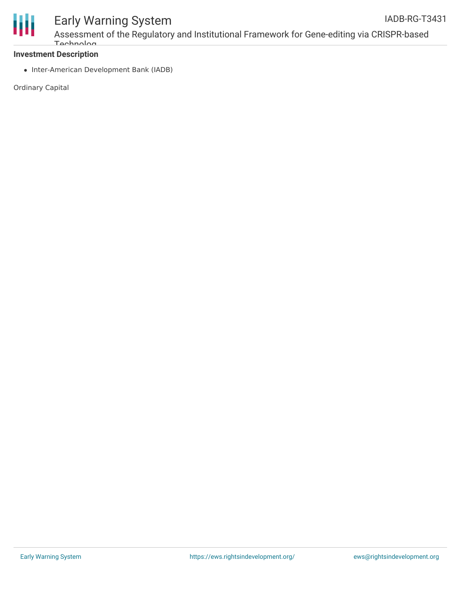

## Early Warning System

Assessment of the Regulatory and Institutional Framework for Gene-editing via CRISPR-based **Tochnolog** 

#### **Investment Description**

• Inter-American Development Bank (IADB)

Ordinary Capital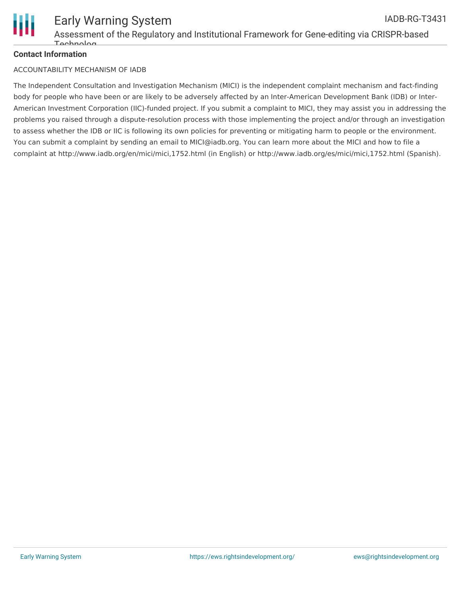

#### **Contact Information**

#### ACCOUNTABILITY MECHANISM OF IADB

The Independent Consultation and Investigation Mechanism (MICI) is the independent complaint mechanism and fact-finding body for people who have been or are likely to be adversely affected by an Inter-American Development Bank (IDB) or Inter-American Investment Corporation (IIC)-funded project. If you submit a complaint to MICI, they may assist you in addressing the problems you raised through a dispute-resolution process with those implementing the project and/or through an investigation to assess whether the IDB or IIC is following its own policies for preventing or mitigating harm to people or the environment. You can submit a complaint by sending an email to MICI@iadb.org. You can learn more about the MICI and how to file a complaint at http://www.iadb.org/en/mici/mici,1752.html (in English) or http://www.iadb.org/es/mici/mici,1752.html (Spanish).